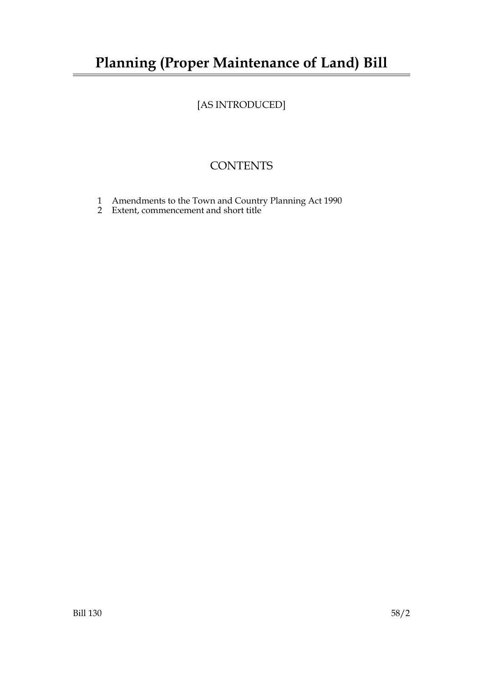# **Planning (Proper Maintenance of Land) Bill**

# [AS INTRODUCED]

## **CONTENTS**

- 1 Amendments to the Town and Country Planning Act 1990
- 2 Extent, commencement and short title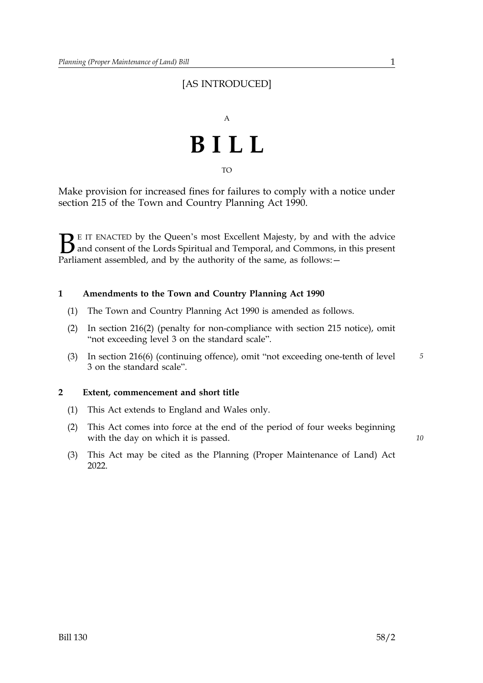### [AS INTRODUCED]



TO

Make provision for increased fines for failures to comply with a notice under section 215 of the Town and Country Planning Act 1990.

 $\sum$  E IT ENACTED by the Queen's most Excellent Majesty, by and with the advice<br>and consent of the Lords Spiritual and Temporal, and Commons, in this present<br>Parliament assembled, and by the authority of the same as follo and consent of the Lords Spiritual and Temporal, and Commons, in this present Parliament assembled, and by the authority of the same, as follows: -

#### **1 Amendments to the Town and Country Planning Act 1990**

- (1) The Town and Country Planning Act 1990 is amended as follows.
- (2) In section 216(2) (penalty for non-compliance with section 215 notice), omit "not exceeding level 3 on the standard scale".
- (3) In section 216(6) (continuing offence), omit "not exceeding one-tenth of level *5* 3 on the standard scale".

#### **2 Extent, commencement and short title**

- (1) This Act extends to England and Wales only.
- (2) This Act comes into force at the end of the period of four weeks beginning with the day on which it is passed.
- (3) This Act may be cited as the Planning (Proper Maintenance of Land) Act 2022.

*10*